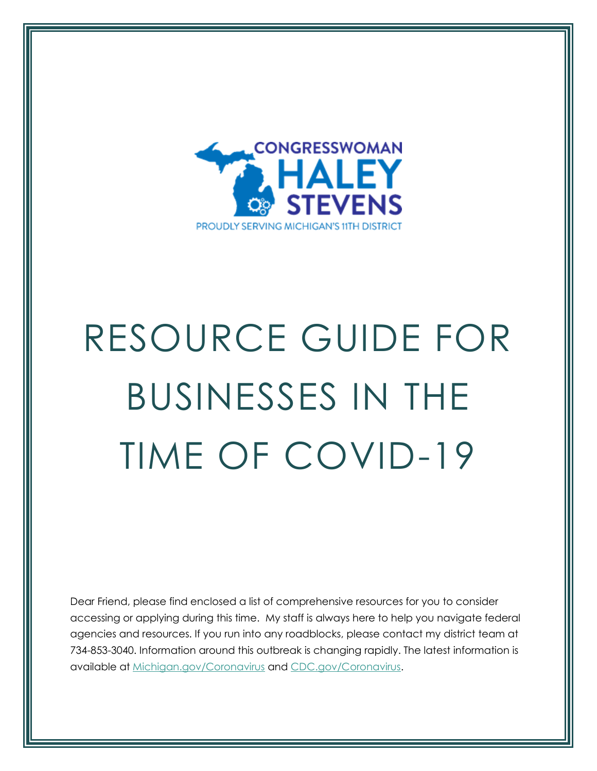

# RESOURCE GUIDE FOR BUSINESSES IN THE TIME OF COVID-19

Dear Friend, please find enclosed a list of comprehensive resources for you to consider accessing or applying during this time. My staff is always here to help you navigate federal agencies and resources. If you run into any roadblocks, please contact my district team at 734-853-3040. Information around this outbreak is changing rapidly. The latest information is available at [Michigan.gov/Coronavirus](https://urldefense.proofpoint.com/v2/url?u=http-3A__Michigan.gov_Coronavirus&d=DwQFaQ&c=L93KkjKsAC98uTvC4KvQDdTDRzAeWDDRmG6S3YXllH0&r=E6Io28wuICQSsyLFNSCdruLQo64WQ3NJ4rFkl-LcCXE&m=ZnSGQHGvGTRim7GjwvzKb8__genV3GTt_BJZZMPCnWU&s=j182WZOv0S_qWFgEKXZevOHhHxcoqmAV2-YGH0XO7YY&e=) and [CDC.gov/Coronavirus.](https://urldefense.proofpoint.com/v2/url?u=http-3A__CDC.gov_Coronavirus&d=DwQFaQ&c=L93KkjKsAC98uTvC4KvQDdTDRzAeWDDRmG6S3YXllH0&r=E6Io28wuICQSsyLFNSCdruLQo64WQ3NJ4rFkl-LcCXE&m=ZnSGQHGvGTRim7GjwvzKb8__genV3GTt_BJZZMPCnWU&s=y-lca2kNwYLMg_2Px7MUTNADE0tkHw3YK0cSQA7eDdQ&e=)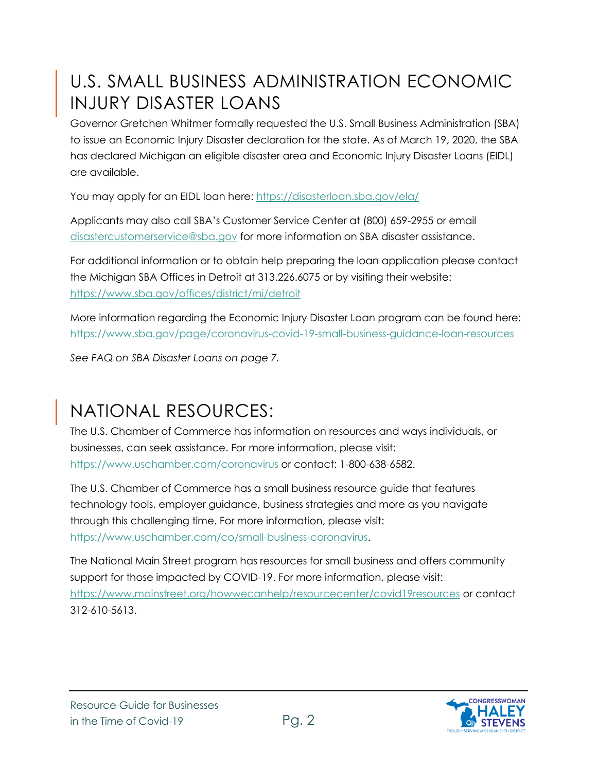## U.S. SMALL BUSINESS ADMINISTRATION ECONOMIC INJURY DISASTER LOANS

Governor Gretchen Whitmer formally requested the U.S. Small Business Administration (SBA) to issue an Economic Injury Disaster declaration for the state. As of March 19, 2020, the SBA has declared Michigan an eligible disaster area and Economic Injury Disaster Loans (EIDL) are available.

You may apply for an EIDL loan here:<https://disasterloan.sba.gov/ela/>

Applicants may also call SBA's Customer Service Center at (800) 659-2955 or email [disastercustomerservice@sba.gov](mailto:disastercustomerservice@sba.gov) for more information on SBA disaster assistance.

For additional information or to obtain help preparing the loan application please contact the Michigan SBA Offices in Detroit at 313.226.6075 or by visiting their website: <https://www.sba.gov/offices/district/mi/detroit>

More information regarding the Economic Injury Disaster Loan program can be found here[:](https://www.sba.gov/page/guidance-businesses-employers-plan-respond-coronavirus-disease-2019-covid-19?fbclid=IwAR0R27ScsLr5z92aZz1Lzj5q5ZwX6YmVmmMCqzAQIpfadqgQ2de26yQ_OdA) <https://www.sba.gov/page/coronavirus-covid-19-small-business-guidance-loan-resources>

*See FAQ on SBA Disaster Loans on page 7.* 

# NATIONAL RESOURCES:

The U.S. Chamber of Commerce has information on resources and ways individuals, or businesses, can seek assistance. For more information, please visit: <https://www.uschamber.com/coronavirus> or contact: 1-800-638-6582.

The U.S. Chamber of Commerce has a small business resource guide that features technology tools, employer guidance, business strategies and more as you navigate through this challenging time. For more information, please visit: [https://www.uschamber.com/co/small-business-coronavirus.](https://www.uschamber.com/co/small-business-coronavirus)

The National Main Street program has resources for small business and offers community support for those impacted by COVID-19. For more information, please visit: <https://www.mainstreet.org/howwecanhelp/resourcecenter/covid19resources> or contact 312-610-5613.

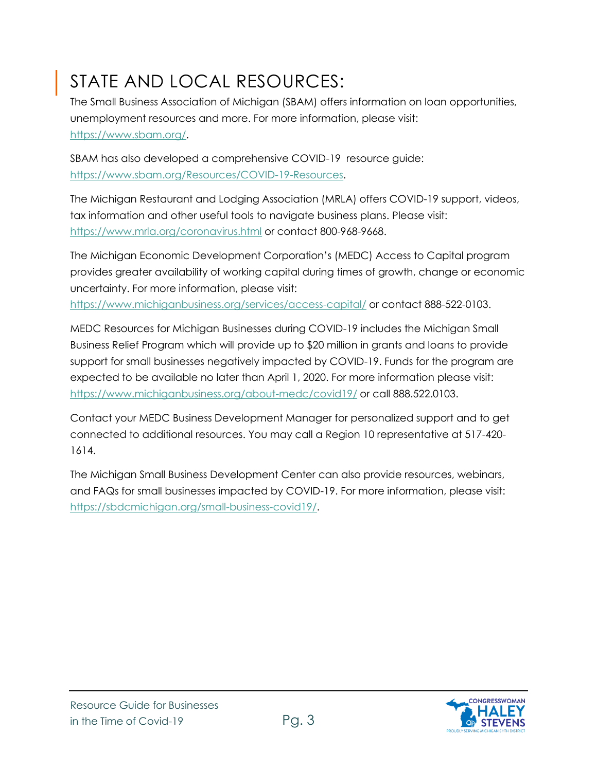# STATE AND LOCAL RESOURCES:

The Small Business Association of Michigan (SBAM) offers information on loan opportunities, unemployment resources and more. For more information, please visit: [https://www.sbam.org/.](https://www.sbam.org/)

SBAM has also developed a comprehensive COVID-19 resource guide: [https://www.sbam.org/Resources/COVID-19-Resources.](https://www.sbam.org/Resources/COVID-19-Resources)

The Michigan Restaurant and Lodging Association (MRLA) offers COVID-19 support, videos, tax information and other useful tools to navigate business plans. Please visit: <https://www.mrla.org/coronavirus.html> or contact 800-968-9668.

The Michigan Economic Development Corporation's (MEDC) Access to Capital program provides greater availability of working capital during times of growth, change or economic uncertainty. For more information, please visit:

<https://www.michiganbusiness.org/services/access-capital/> or contact 888-522-0103.

MEDC Resources for Michigan Businesses during COVID-19 includes the Michigan Small Business Relief Program which will provide up to \$20 million in grants and loans to provide support for small businesses negatively impacted by COVID-19. Funds for the program are expected to be available no later than April 1, 2020. For more information please visit: <https://www.michiganbusiness.org/about-medc/covid19/> or call 888.522.0103.

Contact your MEDC Business Development Manager for personalized support and to get connected to additional resources. You may call a Region 10 representative at 517-420- 1614.

The Michigan Small Business Development Center can also provide resources, webinars, and FAQs for small businesses impacted by COVID-19. For more information, please visit: [https://sbdcmichigan.org/small-business-covid19/.](https://sbdcmichigan.org/small-business-covid19/)

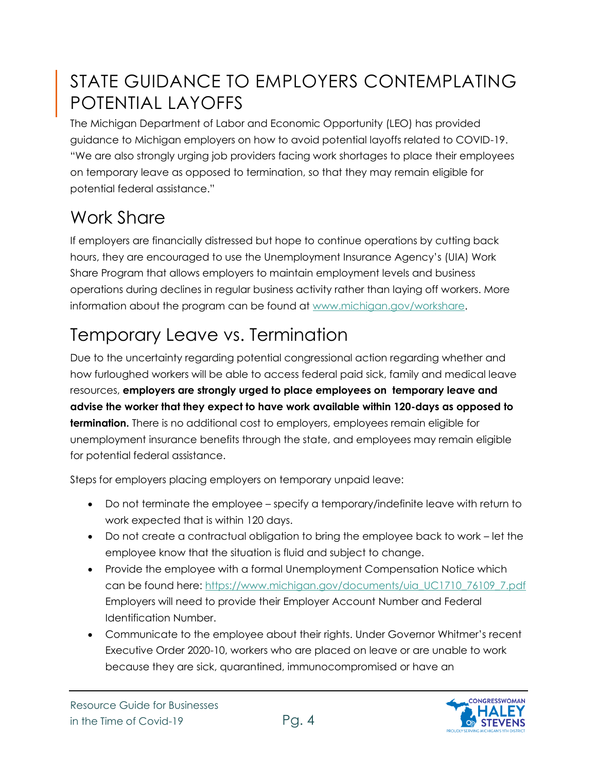## STATE GUIDANCE TO EMPLOYERS CONTEMPLATING POTENTIAL LAYOFFS

The Michigan Department of Labor and Economic Opportunity (LEO) has provided guidance to Michigan employers on how to avoid potential layoffs related to COVID-19. "We are also strongly urging job providers facing work shortages to place their employees on temporary leave as opposed to termination, so that they may remain eligible for potential federal assistance."

## Work Share

If employers are financially distressed but hope to continue operations by cutting back hours, they are encouraged to use the Unemployment Insurance Agency's (UIA) Work Share Program that allows employers to maintain employment levels and business operations during declines in regular business activity rather than laying off workers. More information about the program can be found at [www.michigan.gov/workshare.](https://gcc01.safelinks.protection.outlook.com/?url=https%3A%2F%2Flnks.gd%2Fl%2FeyJhbGciOiJIUzI1NiJ9.eyJidWxsZXRpbl9saW5rX2lkIjoxMDEsInVyaSI6ImJwMjpjbGljayIsImJ1bGxldGluX2lkIjoiMjAyMDAzMTguMTg5NDMyNjEiLCJ1cmwiOiJodHRwczovL3d3dy5taWNoaWdhbi5nb3YvbGVvLzAsNTg2Myw3LTMzNi03ODQyMV85NzI0MV84OTk4MV85MDIzMV85MDIzMy0zNTI1NDYtLSwwMC5odG1sP3V0bV9tZWRpdW09ZW1haWwmdXRtX3NvdXJjZT1nb3ZkZWxpdmVyeSJ9.6R3VD1--DLXZwkAWKXXTX5t6ATZAoNutwqIjDruB8Dk%2Fbr%2F76294532961-l&data=02%7C01%7Cvarughesel%40michigan.gov%7C4a3879e050ec444e5d2708d7cb76dd81%7Cd5fb7087377742ad966a892ef47225d1%7C0%7C0%7C637201583697596425&sdata=NH8r3k9ZOuLLc%2Bqqd92Rjup94Klo1PHsKtANZDiYPIU%3D&reserved=0)

# Temporary Leave vs. Termination

Due to the uncertainty regarding potential congressional action regarding whether and how furloughed workers will be able to access federal paid sick, family and medical leave resources, **employers are strongly urged to place employees on temporary leave and advise the worker that they expect to have work available within 120-days as opposed to termination.** There is no additional cost to employers, employees remain eligible for unemployment insurance benefits through the state, and employees may remain eligible for potential federal assistance.

Steps for employers placing employers on temporary unpaid leave:

- Do not terminate the employee specify a temporary/indefinite leave with return to work expected that is within 120 days.
- Do not create a contractual obligation to bring the employee back to work let the employee know that the situation is fluid and subject to change.
- Provide the employee with a formal Unemployment Compensation Notice which can be found here: [https://www.michigan.gov/documents/uia\\_UC1710\\_76109\\_7.pdf](https://www.michigan.gov/documents/uia_UC1710_76109_7.pdf) Employers will need to provide their Employer Account Number and Federal Identification Number.
- Communicate to the employee about their rights. Under Governor Whitmer's recent Executive Order 2020-10, workers who are placed on leave or are unable to work because they are sick, quarantined, immunocompromised or have an

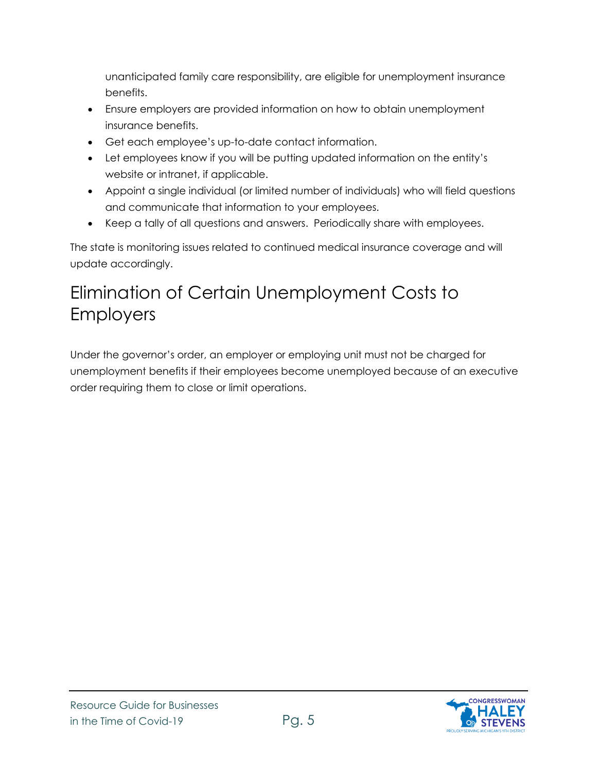unanticipated family care responsibility, are eligible for unemployment insurance benefits.

- Ensure employers are provided information on how to obtain unemployment insurance benefits.
- Get each employee's up-to-date contact information.
- Let employees know if you will be putting updated information on the entity's website or intranet, if applicable.
- Appoint a single individual (or limited number of individuals) who will field questions and communicate that information to your employees.
- Keep a tally of all questions and answers. Periodically share with employees.

The state is monitoring issues related to continued medical insurance coverage and will update accordingly.

## Elimination of Certain Unemployment Costs to Employers

Under the governor's order, an employer or employing unit must not be charged for unemployment benefits if their employees become unemployed because of an executive order requiring them to close or limit operations.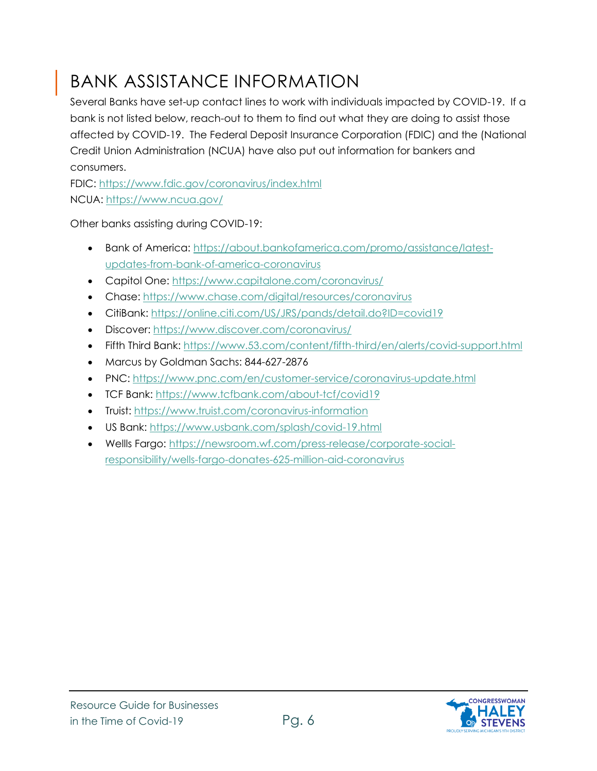# BANK ASSISTANCE INFORMATION

Several Banks have set-up contact lines to work with individuals impacted by COVID-19. If a bank is not listed below, reach-out to them to find out what they are doing to assist those affected by COVID-19. The Federal Deposit Insurance Corporation (FDIC) and the (National Credit Union Administration (NCUA) have also put out information for bankers and consumers.

FDIC:<https://www.fdic.gov/coronavirus/index.html> NCUA:<https://www.ncua.gov/>

Other banks assisting during COVID-19:

- Bank of America: [https://about.bankofamerica.com/promo/assistance/latest](https://about.bankofamerica.com/promo/assistance/latest-updates-from-bank-of-america-coronavirus)[updates-from-bank-of-america-coronavirus](https://about.bankofamerica.com/promo/assistance/latest-updates-from-bank-of-america-coronavirus)
- Capitol One:<https://www.capitalone.com/coronavirus/>
- Chase:<https://www.chase.com/digital/resources/coronavirus>
- CitiBank:<https://online.citi.com/US/JRS/pands/detail.do?ID=covid19>
- Discover:<https://www.discover.com/coronavirus/>
- Fifth Third Bank:<https://www.53.com/content/fifth-third/en/alerts/covid-support.html>
- Marcus by Goldman Sachs: 844-627-2876
- PNC:<https://www.pnc.com/en/customer-service/coronavirus-update.html>
- TCF Bank:<https://www.tcfbank.com/about-tcf/covid19>
- Truist:<https://www.truist.com/coronavirus-information>
- US Bank:<https://www.usbank.com/splash/covid-19.html>
- Wellls Fargo: [https://newsroom.wf.com/press-release/corporate-social](https://newsroom.wf.com/press-release/corporate-social-responsibility/wells-fargo-donates-625-million-aid-coronavirus)[responsibility/wells-fargo-donates-625-million-aid-coronavirus](https://newsroom.wf.com/press-release/corporate-social-responsibility/wells-fargo-donates-625-million-aid-coronavirus)